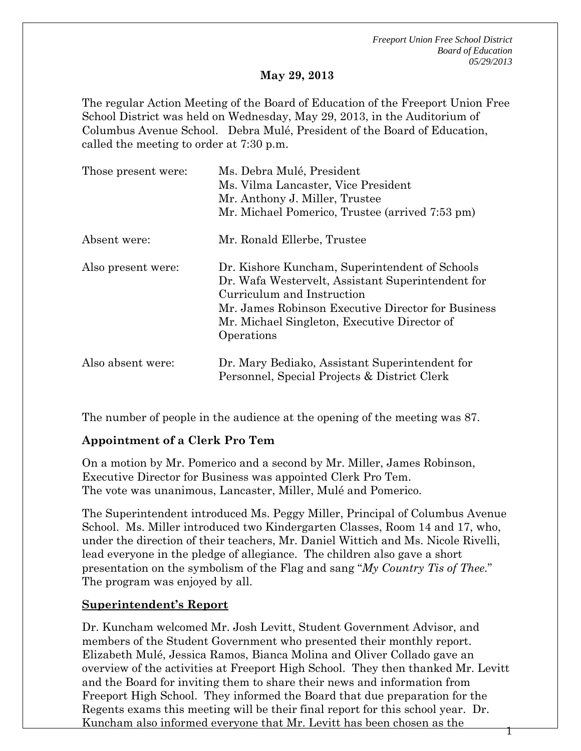*Freeport Union Free School District Board of Education 05/29/2013* 

#### **May 29, 2013**

The regular Action Meeting of the Board of Education of the Freeport Union Free School District was held on Wednesday, May 29, 2013, in the Auditorium of Columbus Avenue School. Debra Mulé, President of the Board of Education, called the meeting to order at 7:30 p.m.

| Those present were: | Ms. Debra Mulé, President<br>Ms. Vilma Lancaster, Vice President<br>Mr. Anthony J. Miller, Trustee<br>Mr. Michael Pomerico, Trustee (arrived 7:53 pm)                                                                                                 |
|---------------------|-------------------------------------------------------------------------------------------------------------------------------------------------------------------------------------------------------------------------------------------------------|
| Absent were:        | Mr. Ronald Ellerbe, Trustee                                                                                                                                                                                                                           |
| Also present were:  | Dr. Kishore Kuncham, Superintendent of Schools<br>Dr. Wafa Westervelt, Assistant Superintendent for<br>Curriculum and Instruction<br>Mr. James Robinson Executive Director for Business<br>Mr. Michael Singleton, Executive Director of<br>Operations |
| Also absent were:   | Dr. Mary Bediako, Assistant Superintendent for<br>Personnel, Special Projects & District Clerk                                                                                                                                                        |

The number of people in the audience at the opening of the meeting was 87.

#### **Appointment of a Clerk Pro Tem**

On a motion by Mr. Pomerico and a second by Mr. Miller, James Robinson, Executive Director for Business was appointed Clerk Pro Tem. The vote was unanimous, Lancaster, Miller, Mulé and Pomerico.

The Superintendent introduced Ms. Peggy Miller, Principal of Columbus Avenue School. Ms. Miller introduced two Kindergarten Classes, Room 14 and 17, who, under the direction of their teachers, Mr. Daniel Wittich and Ms. Nicole Rivelli, lead everyone in the pledge of allegiance. The children also gave a short presentation on the symbolism of the Flag and sang "*My Country Tis of Thee.*" The program was enjoyed by all.

#### **Superintendent's Report**

1 Dr. Kuncham welcomed Mr. Josh Levitt, Student Government Advisor, and members of the Student Government who presented their monthly report. Elizabeth Mulé, Jessica Ramos, Bianca Molina and Oliver Collado gave an overview of the activities at Freeport High School. They then thanked Mr. Levitt and the Board for inviting them to share their news and information from Freeport High School. They informed the Board that due preparation for the Regents exams this meeting will be their final report for this school year. Dr. Kuncham also informed everyone that Mr. Levitt has been chosen as the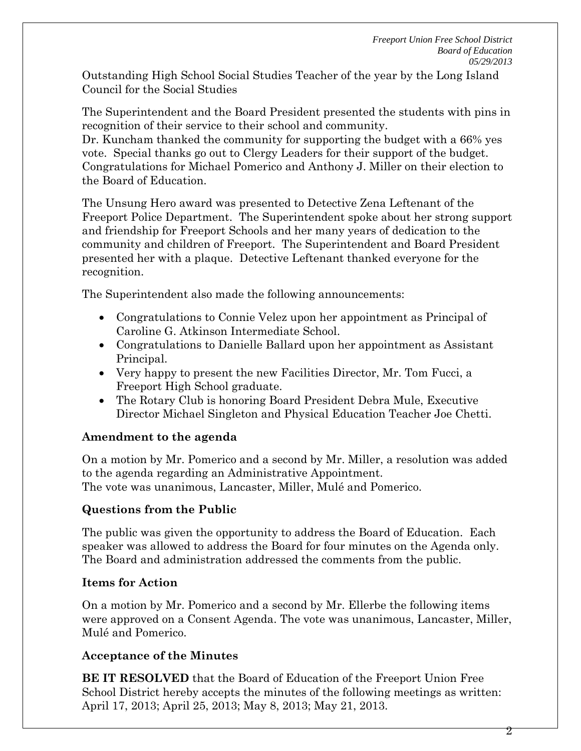Outstanding High School Social Studies Teacher of the year by the Long Island Council for the Social Studies

The Superintendent and the Board President presented the students with pins in recognition of their service to their school and community.

Dr. Kuncham thanked the community for supporting the budget with a 66% yes vote. Special thanks go out to Clergy Leaders for their support of the budget. Congratulations for Michael Pomerico and Anthony J. Miller on their election to the Board of Education.

The Unsung Hero award was presented to Detective Zena Leftenant of the Freeport Police Department. The Superintendent spoke about her strong support and friendship for Freeport Schools and her many years of dedication to the community and children of Freeport. The Superintendent and Board President presented her with a plaque. Detective Leftenant thanked everyone for the recognition.

The Superintendent also made the following announcements:

- Congratulations to Connie Velez upon her appointment as Principal of Caroline G. Atkinson Intermediate School.
- Congratulations to Danielle Ballard upon her appointment as Assistant Principal.
- Very happy to present the new Facilities Director, Mr. Tom Fucci, a Freeport High School graduate.
- The Rotary Club is honoring Board President Debra Mule, Executive Director Michael Singleton and Physical Education Teacher Joe Chetti.

# **Amendment to the agenda**

On a motion by Mr. Pomerico and a second by Mr. Miller, a resolution was added to the agenda regarding an Administrative Appointment. The vote was unanimous, Lancaster, Miller, Mulé and Pomerico.

# **Questions from the Public**

The public was given the opportunity to address the Board of Education. Each speaker was allowed to address the Board for four minutes on the Agenda only. The Board and administration addressed the comments from the public.

# **Items for Action**

On a motion by Mr. Pomerico and a second by Mr. Ellerbe the following items were approved on a Consent Agenda. The vote was unanimous, Lancaster, Miller, Mulé and Pomerico.

# **Acceptance of the Minutes**

**BE IT RESOLVED** that the Board of Education of the Freeport Union Free School District hereby accepts the minutes of the following meetings as written: April 17, 2013; April 25, 2013; May 8, 2013; May 21, 2013.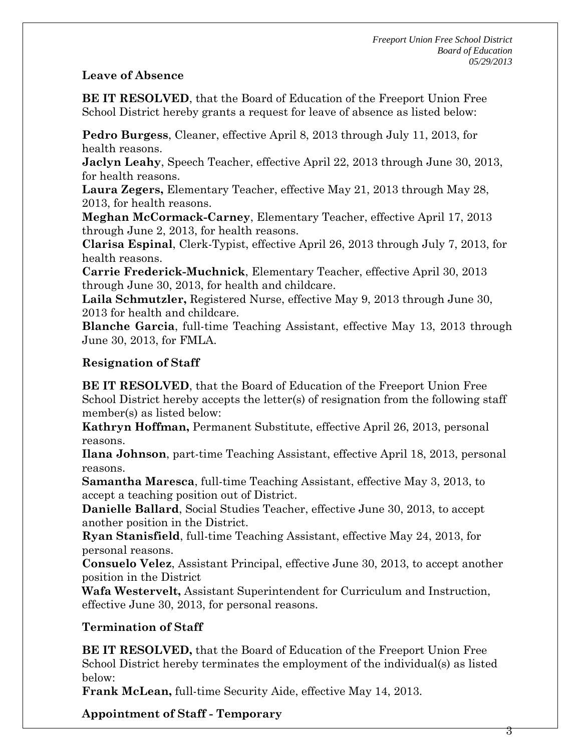#### **Leave of Absence**

**BE IT RESOLVED**, that the Board of Education of the Freeport Union Free School District hereby grants a request for leave of absence as listed below:

**Pedro Burgess**, Cleaner, effective April 8, 2013 through July 11, 2013, for health reasons.

**Jaclyn Leahy**, Speech Teacher, effective April 22, 2013 through June 30, 2013, for health reasons.

**Laura Zegers,** Elementary Teacher, effective May 21, 2013 through May 28, 2013, for health reasons.

**Meghan McCormack-Carney**, Elementary Teacher, effective April 17, 2013 through June 2, 2013, for health reasons.

**Clarisa Espinal**, Clerk-Typist, effective April 26, 2013 through July 7, 2013, for health reasons.

**Carrie Frederick-Muchnick**, Elementary Teacher, effective April 30, 2013 through June 30, 2013, for health and childcare.

**Laila Schmutzler,** Registered Nurse, effective May 9, 2013 through June 30, 2013 for health and childcare.

**Blanche Garcia**, full-time Teaching Assistant, effective May 13, 2013 through June 30, 2013, for FMLA.

## **Resignation of Staff**

**BE IT RESOLVED**, that the Board of Education of the Freeport Union Free School District hereby accepts the letter(s) of resignation from the following staff member(s) as listed below:

**Kathryn Hoffman,** Permanent Substitute, effective April 26, 2013, personal reasons.

**Ilana Johnson**, part-time Teaching Assistant, effective April 18, 2013, personal reasons.

**Samantha Maresca**, full-time Teaching Assistant, effective May 3, 2013, to accept a teaching position out of District.

**Danielle Ballard**, Social Studies Teacher, effective June 30, 2013, to accept another position in the District.

**Ryan Stanisfield**, full-time Teaching Assistant, effective May 24, 2013, for personal reasons.

**Consuelo Velez**, Assistant Principal, effective June 30, 2013, to accept another position in the District

**Wafa Westervelt,** Assistant Superintendent for Curriculum and Instruction, effective June 30, 2013, for personal reasons.

## **Termination of Staff**

**BE IT RESOLVED,** that the Board of Education of the Freeport Union Free School District hereby terminates the employment of the individual(s) as listed below:

**Frank McLean,** full-time Security Aide, effective May 14, 2013.

**Appointment of Staff - Temporary**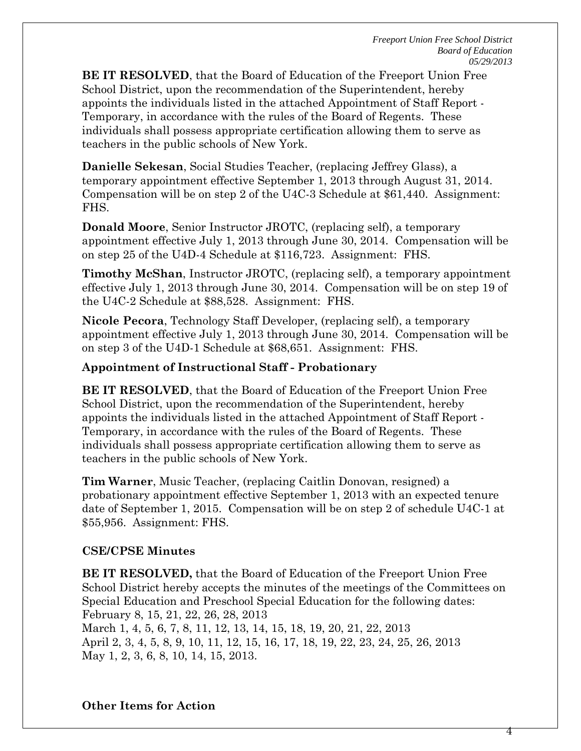4

**BE IT RESOLVED**, that the Board of Education of the Freeport Union Free School District, upon the recommendation of the Superintendent, hereby appoints the individuals listed in the attached Appointment of Staff Report - Temporary, in accordance with the rules of the Board of Regents. These individuals shall possess appropriate certification allowing them to serve as teachers in the public schools of New York.

**Danielle Sekesan**, Social Studies Teacher, (replacing Jeffrey Glass), a temporary appointment effective September 1, 2013 through August 31, 2014. Compensation will be on step 2 of the U4C-3 Schedule at \$61,440. Assignment: FHS.

**Donald Moore**, Senior Instructor JROTC, (replacing self), a temporary appointment effective July 1, 2013 through June 30, 2014. Compensation will be on step 25 of the U4D-4 Schedule at \$116,723. Assignment: FHS.

**Timothy McShan**, Instructor JROTC, (replacing self), a temporary appointment effective July 1, 2013 through June 30, 2014. Compensation will be on step 19 of the U4C-2 Schedule at \$88,528. Assignment: FHS.

**Nicole Pecora**, Technology Staff Developer, (replacing self), a temporary appointment effective July 1, 2013 through June 30, 2014. Compensation will be on step 3 of the U4D-1 Schedule at \$68,651. Assignment: FHS.

#### **Appointment of Instructional Staff - Probationary**

**BE IT RESOLVED**, that the Board of Education of the Freeport Union Free School District, upon the recommendation of the Superintendent, hereby appoints the individuals listed in the attached Appointment of Staff Report - Temporary, in accordance with the rules of the Board of Regents. These individuals shall possess appropriate certification allowing them to serve as teachers in the public schools of New York.

**Tim Warner**, Music Teacher, (replacing Caitlin Donovan, resigned) a probationary appointment effective September 1, 2013 with an expected tenure date of September 1, 2015. Compensation will be on step 2 of schedule U4C-1 at \$55,956. Assignment: FHS.

## **CSE/CPSE Minutes**

**BE IT RESOLVED,** that the Board of Education of the Freeport Union Free School District hereby accepts the minutes of the meetings of the Committees on Special Education and Preschool Special Education for the following dates: February 8, 15, 21, 22, 26, 28, 2013 March 1, 4, 5, 6, 7, 8, 11, 12, 13, 14, 15, 18, 19, 20, 21, 22, 2013 April 2, 3, 4, 5, 8, 9, 10, 11, 12, 15, 16, 17, 18, 19, 22, 23, 24, 25, 26, 2013 May 1, 2, 3, 6, 8, 10, 14, 15, 2013.

#### **Other Items for Action**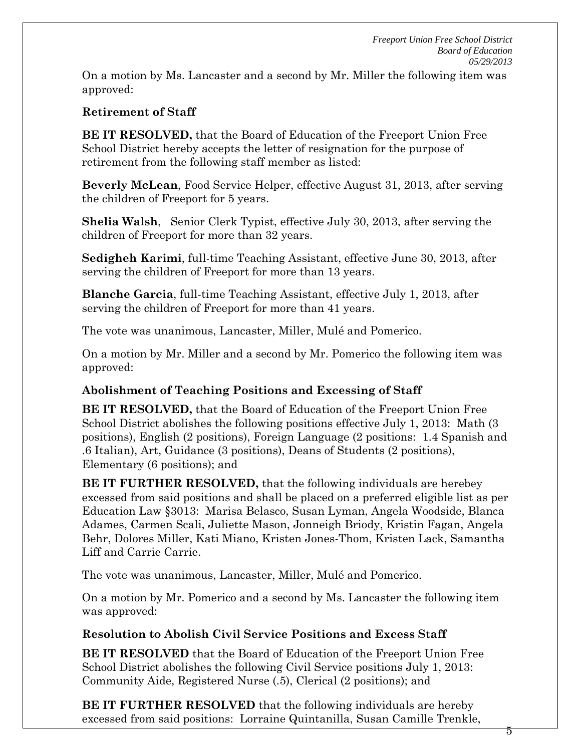On a motion by Ms. Lancaster and a second by Mr. Miller the following item was approved:

#### **Retirement of Staff**

**BE IT RESOLVED,** that the Board of Education of the Freeport Union Free School District hereby accepts the letter of resignation for the purpose of retirement from the following staff member as listed:

**Beverly McLean**, Food Service Helper, effective August 31, 2013, after serving the children of Freeport for 5 years.

**Shelia Walsh**, Senior Clerk Typist, effective July 30, 2013, after serving the children of Freeport for more than 32 years.

**Sedigheh Karimi**, full-time Teaching Assistant, effective June 30, 2013, after serving the children of Freeport for more than 13 years.

**Blanche Garcia**, full-time Teaching Assistant, effective July 1, 2013, after serving the children of Freeport for more than 41 years.

The vote was unanimous, Lancaster, Miller, Mulé and Pomerico.

On a motion by Mr. Miller and a second by Mr. Pomerico the following item was approved:

## **Abolishment of Teaching Positions and Excessing of Staff**

**BE IT RESOLVED,** that the Board of Education of the Freeport Union Free School District abolishes the following positions effective July 1, 2013: Math (3 positions), English (2 positions), Foreign Language (2 positions: 1.4 Spanish and .6 Italian), Art, Guidance (3 positions), Deans of Students (2 positions), Elementary (6 positions); and

**BE IT FURTHER RESOLVED,** that the following individuals are herebey excessed from said positions and shall be placed on a preferred eligible list as per Education Law §3013: Marisa Belasco, Susan Lyman, Angela Woodside, Blanca Adames, Carmen Scali, Juliette Mason, Jonneigh Briody, Kristin Fagan, Angela Behr, Dolores Miller, Kati Miano, Kristen Jones-Thom, Kristen Lack, Samantha Liff and Carrie Carrie.

The vote was unanimous, Lancaster, Miller, Mulé and Pomerico.

On a motion by Mr. Pomerico and a second by Ms. Lancaster the following item was approved:

## **Resolution to Abolish Civil Service Positions and Excess Staff**

**BE IT RESOLVED** that the Board of Education of the Freeport Union Free School District abolishes the following Civil Service positions July 1, 2013: Community Aide, Registered Nurse (.5), Clerical (2 positions); and

**BE IT FURTHER RESOLVED** that the following individuals are hereby excessed from said positions: Lorraine Quintanilla, Susan Camille Trenkle,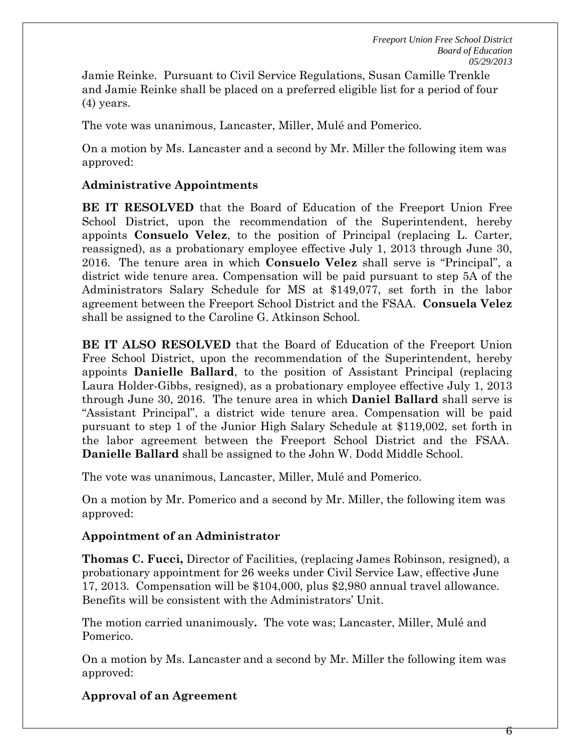Jamie Reinke. Pursuant to Civil Service Regulations, Susan Camille Trenkle and Jamie Reinke shall be placed on a preferred eligible list for a period of four (4) years.

The vote was unanimous, Lancaster, Miller, Mulé and Pomerico.

On a motion by Ms. Lancaster and a second by Mr. Miller the following item was approved:

## **Administrative Appointments**

**BE IT RESOLVED** that the Board of Education of the Freeport Union Free School District, upon the recommendation of the Superintendent, hereby appoints **Consuelo Velez**, to the position of Principal (replacing L. Carter, reassigned), as a probationary employee effective July 1, 2013 through June 30, 2016. The tenure area in which **Consuelo Velez** shall serve is "Principal", a district wide tenure area. Compensation will be paid pursuant to step 5A of the Administrators Salary Schedule for MS at \$149,077, set forth in the labor agreement between the Freeport School District and the FSAA. **Consuela Velez** shall be assigned to the Caroline G. Atkinson School.

**BE IT ALSO RESOLVED** that the Board of Education of the Freeport Union Free School District, upon the recommendation of the Superintendent, hereby appoints **Danielle Ballard**, to the position of Assistant Principal (replacing Laura Holder-Gibbs, resigned), as a probationary employee effective July 1, 2013 through June 30, 2016. The tenure area in which **Daniel Ballard** shall serve is "Assistant Principal", a district wide tenure area. Compensation will be paid pursuant to step 1 of the Junior High Salary Schedule at \$119,002, set forth in the labor agreement between the Freeport School District and the FSAA. **Danielle Ballard** shall be assigned to the John W. Dodd Middle School.

The vote was unanimous, Lancaster, Miller, Mulé and Pomerico.

On a motion by Mr. Pomerico and a second by Mr. Miller, the following item was approved:

## **Appointment of an Administrator**

**Thomas C. Fucci,** Director of Facilities, (replacing James Robinson, resigned), a probationary appointment for 26 weeks under Civil Service Law, effective June 17, 2013. Compensation will be \$104,000, plus \$2,980 annual travel allowance. Benefits will be consistent with the Administrators' Unit.

The motion carried unanimously**.** The vote was; Lancaster, Miller, Mulé and Pomerico.

On a motion by Ms. Lancaster and a second by Mr. Miller the following item was approved:

# **Approval of an Agreement**

6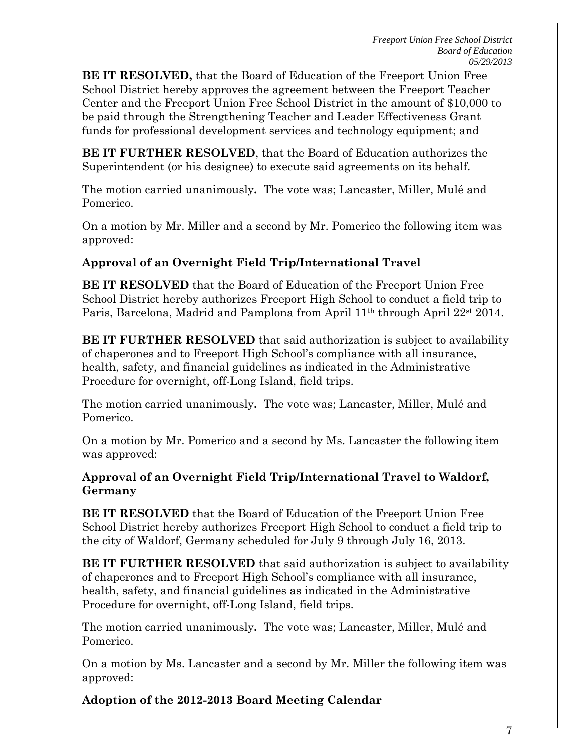7

**BE IT RESOLVED,** that the Board of Education of the Freeport Union Free School District hereby approves the agreement between the Freeport Teacher Center and the Freeport Union Free School District in the amount of \$10,000 to be paid through the Strengthening Teacher and Leader Effectiveness Grant funds for professional development services and technology equipment; and

**BE IT FURTHER RESOLVED**, that the Board of Education authorizes the Superintendent (or his designee) to execute said agreements on its behalf.

The motion carried unanimously**.** The vote was; Lancaster, Miller, Mulé and Pomerico.

On a motion by Mr. Miller and a second by Mr. Pomerico the following item was approved:

## **Approval of an Overnight Field Trip/International Travel**

**BE IT RESOLVED** that the Board of Education of the Freeport Union Free School District hereby authorizes Freeport High School to conduct a field trip to Paris, Barcelona, Madrid and Pamplona from April 11<sup>th</sup> through April 22<sup>st</sup> 2014.

**BE IT FURTHER RESOLVED** that said authorization is subject to availability of chaperones and to Freeport High School's compliance with all insurance, health, safety, and financial guidelines as indicated in the Administrative Procedure for overnight, off-Long Island, field trips.

The motion carried unanimously**.** The vote was; Lancaster, Miller, Mulé and Pomerico.

On a motion by Mr. Pomerico and a second by Ms. Lancaster the following item was approved:

#### **Approval of an Overnight Field Trip/International Travel to Waldorf, Germany**

**BE IT RESOLVED** that the Board of Education of the Freeport Union Free School District hereby authorizes Freeport High School to conduct a field trip to the city of Waldorf, Germany scheduled for July 9 through July 16, 2013.

**BE IT FURTHER RESOLVED** that said authorization is subject to availability of chaperones and to Freeport High School's compliance with all insurance, health, safety, and financial guidelines as indicated in the Administrative Procedure for overnight, off-Long Island, field trips.

The motion carried unanimously**.** The vote was; Lancaster, Miller, Mulé and Pomerico.

On a motion by Ms. Lancaster and a second by Mr. Miller the following item was approved:

**Adoption of the 2012-2013 Board Meeting Calendar**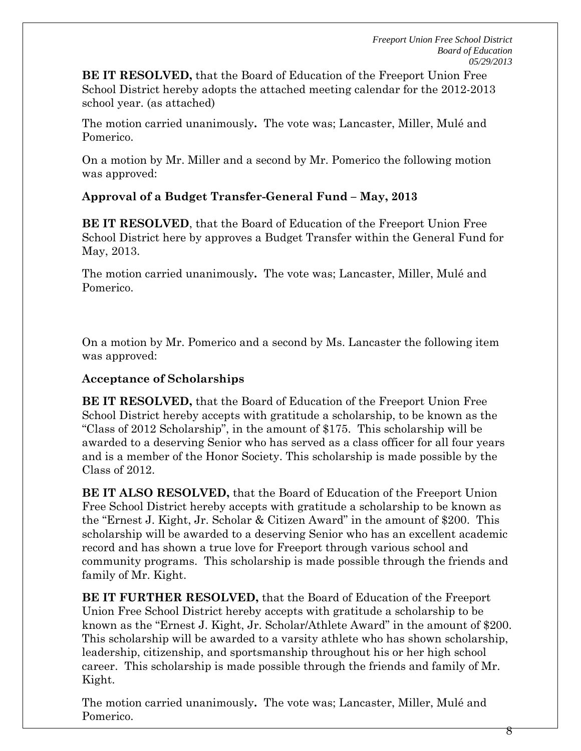**BE IT RESOLVED,** that the Board of Education of the Freeport Union Free School District hereby adopts the attached meeting calendar for the 2012-2013 school year. (as attached)

The motion carried unanimously**.** The vote was; Lancaster, Miller, Mulé and Pomerico.

On a motion by Mr. Miller and a second by Mr. Pomerico the following motion was approved:

## **Approval of a Budget Transfer-General Fund – May, 2013**

**BE IT RESOLVED**, that the Board of Education of the Freeport Union Free School District here by approves a Budget Transfer within the General Fund for May, 2013.

The motion carried unanimously**.** The vote was; Lancaster, Miller, Mulé and Pomerico.

On a motion by Mr. Pomerico and a second by Ms. Lancaster the following item was approved:

## **Acceptance of Scholarships**

**BE IT RESOLVED,** that the Board of Education of the Freeport Union Free School District hereby accepts with gratitude a scholarship, to be known as the "Class of 2012 Scholarship", in the amount of \$175. This scholarship will be awarded to a deserving Senior who has served as a class officer for all four years and is a member of the Honor Society. This scholarship is made possible by the Class of 2012.

**BE IT ALSO RESOLVED,** that the Board of Education of the Freeport Union Free School District hereby accepts with gratitude a scholarship to be known as the "Ernest J. Kight, Jr. Scholar & Citizen Award" in the amount of \$200. This scholarship will be awarded to a deserving Senior who has an excellent academic record and has shown a true love for Freeport through various school and community programs. This scholarship is made possible through the friends and family of Mr. Kight.

**BE IT FURTHER RESOLVED,** that the Board of Education of the Freeport Union Free School District hereby accepts with gratitude a scholarship to be known as the "Ernest J. Kight, Jr. Scholar/Athlete Award" in the amount of \$200. This scholarship will be awarded to a varsity athlete who has shown scholarship, leadership, citizenship, and sportsmanship throughout his or her high school career. This scholarship is made possible through the friends and family of Mr. Kight.

The motion carried unanimously**.** The vote was; Lancaster, Miller, Mulé and Pomerico.

8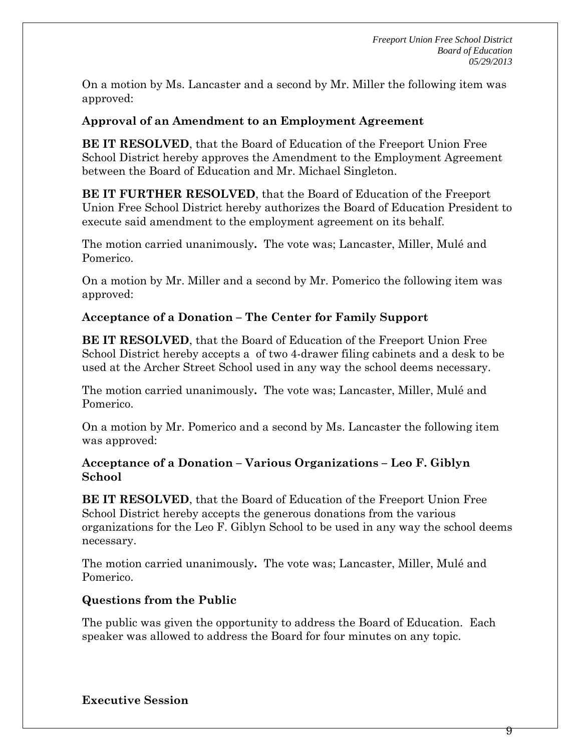On a motion by Ms. Lancaster and a second by Mr. Miller the following item was approved:

#### **Approval of an Amendment to an Employment Agreement**

**BE IT RESOLVED**, that the Board of Education of the Freeport Union Free School District hereby approves the Amendment to the Employment Agreement between the Board of Education and Mr. Michael Singleton.

**BE IT FURTHER RESOLVED**, that the Board of Education of the Freeport Union Free School District hereby authorizes the Board of Education President to execute said amendment to the employment agreement on its behalf.

The motion carried unanimously**.** The vote was; Lancaster, Miller, Mulé and Pomerico.

On a motion by Mr. Miller and a second by Mr. Pomerico the following item was approved:

#### **Acceptance of a Donation – The Center for Family Support**

**BE IT RESOLVED**, that the Board of Education of the Freeport Union Free School District hereby accepts a of two 4-drawer filing cabinets and a desk to be used at the Archer Street School used in any way the school deems necessary.

The motion carried unanimously**.** The vote was; Lancaster, Miller, Mulé and Pomerico.

On a motion by Mr. Pomerico and a second by Ms. Lancaster the following item was approved:

#### **Acceptance of a Donation – Various Organizations – Leo F. Giblyn School**

**BE IT RESOLVED**, that the Board of Education of the Freeport Union Free School District hereby accepts the generous donations from the various organizations for the Leo F. Giblyn School to be used in any way the school deems necessary.

The motion carried unanimously**.** The vote was; Lancaster, Miller, Mulé and Pomerico.

## **Questions from the Public**

The public was given the opportunity to address the Board of Education. Each speaker was allowed to address the Board for four minutes on any topic.

**Executive Session**